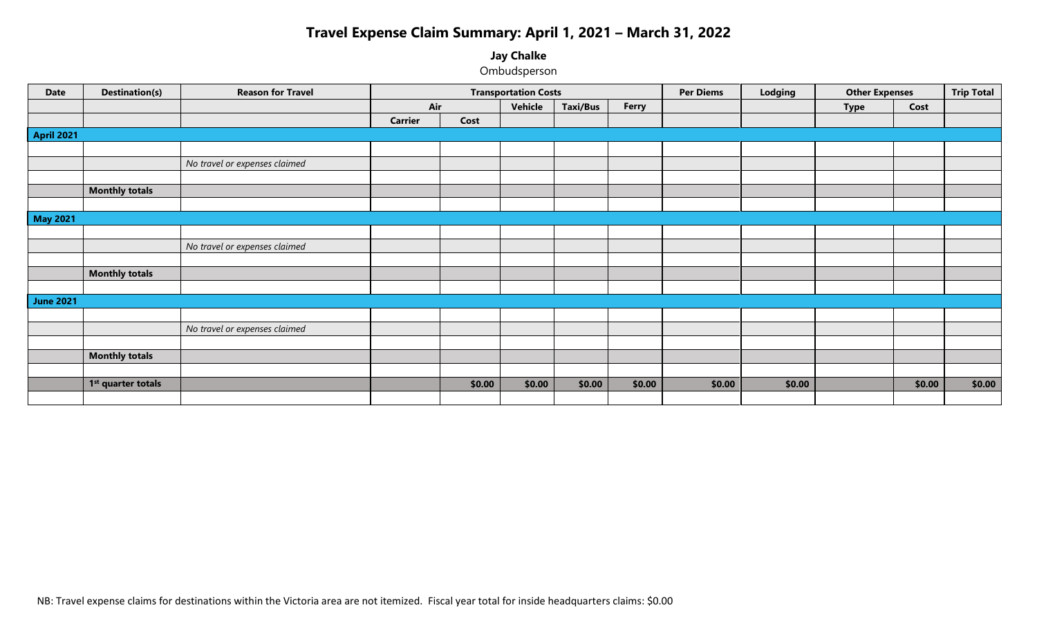# **Travel Expense Claim Summary: April 1, 2021 – March 31, 2022**

## **Jay Chalke**

Ombudsperson

| <b>Date</b>       | <b>Destination(s)</b>          | <b>Reason for Travel</b>      |                |        | <b>Transportation Costs</b> |                 |        | <b>Per Diems</b> | Lodging | <b>Other Expenses</b> |        | <b>Trip Total</b> |
|-------------------|--------------------------------|-------------------------------|----------------|--------|-----------------------------|-----------------|--------|------------------|---------|-----------------------|--------|-------------------|
|                   |                                |                               | Air            |        | Vehicle                     | <b>Taxi/Bus</b> | Ferry  |                  |         | <b>Type</b>           | Cost   |                   |
|                   |                                |                               | <b>Carrier</b> | Cost   |                             |                 |        |                  |         |                       |        |                   |
| <b>April 2021</b> |                                |                               |                |        |                             |                 |        |                  |         |                       |        |                   |
|                   |                                |                               |                |        |                             |                 |        |                  |         |                       |        |                   |
|                   |                                | No travel or expenses claimed |                |        |                             |                 |        |                  |         |                       |        |                   |
|                   |                                |                               |                |        |                             |                 |        |                  |         |                       |        |                   |
|                   | <b>Monthly totals</b>          |                               |                |        |                             |                 |        |                  |         |                       |        |                   |
|                   |                                |                               |                |        |                             |                 |        |                  |         |                       |        |                   |
| <b>May 2021</b>   |                                |                               |                |        |                             |                 |        |                  |         |                       |        |                   |
|                   |                                |                               |                |        |                             |                 |        |                  |         |                       |        |                   |
|                   |                                | No travel or expenses claimed |                |        |                             |                 |        |                  |         |                       |        |                   |
|                   |                                |                               |                |        |                             |                 |        |                  |         |                       |        |                   |
|                   | <b>Monthly totals</b>          |                               |                |        |                             |                 |        |                  |         |                       |        |                   |
|                   |                                |                               |                |        |                             |                 |        |                  |         |                       |        |                   |
| <b>June 2021</b>  |                                |                               |                |        |                             |                 |        |                  |         |                       |        |                   |
|                   |                                |                               |                |        |                             |                 |        |                  |         |                       |        |                   |
|                   |                                | No travel or expenses claimed |                |        |                             |                 |        |                  |         |                       |        |                   |
|                   |                                |                               |                |        |                             |                 |        |                  |         |                       |        |                   |
|                   | <b>Monthly totals</b>          |                               |                |        |                             |                 |        |                  |         |                       |        |                   |
|                   |                                |                               |                |        |                             |                 |        |                  |         |                       |        |                   |
|                   | 1 <sup>st</sup> quarter totals |                               |                | \$0.00 | \$0.00                      | \$0.00          | \$0.00 | \$0.00           | \$0.00  |                       | \$0.00 | \$0.00            |
|                   |                                |                               |                |        |                             |                 |        |                  |         |                       |        |                   |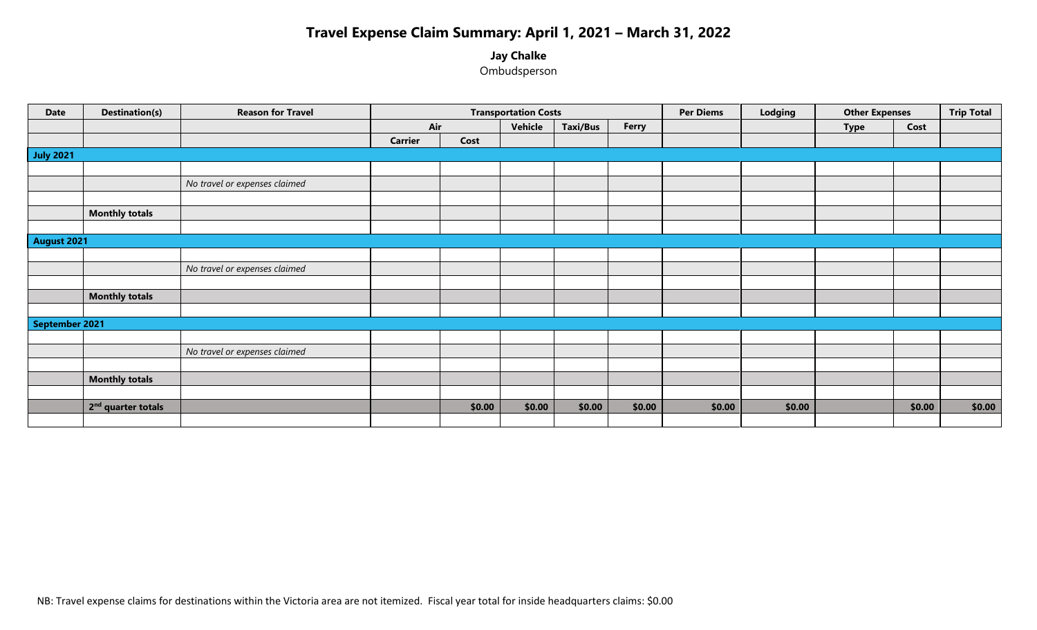# **Travel Expense Claim Summary: April 1, 2021 – March 31, 2022**

## **Jay Chalke**

Ombudsperson

| <b>Date</b>      | <b>Destination(s)</b>          | <b>Reason for Travel</b>      |                |        | <b>Transportation Costs</b> |                 |        | <b>Per Diems</b> | Lodging | <b>Other Expenses</b> |        | <b>Trip Total</b> |
|------------------|--------------------------------|-------------------------------|----------------|--------|-----------------------------|-----------------|--------|------------------|---------|-----------------------|--------|-------------------|
|                  |                                |                               | Air            |        | Vehicle                     | <b>Taxi/Bus</b> | Ferry  |                  |         | <b>Type</b>           | Cost   |                   |
|                  |                                |                               | <b>Carrier</b> | Cost   |                             |                 |        |                  |         |                       |        |                   |
| <b>July 2021</b> |                                |                               |                |        |                             |                 |        |                  |         |                       |        |                   |
|                  |                                |                               |                |        |                             |                 |        |                  |         |                       |        |                   |
|                  |                                | No travel or expenses claimed |                |        |                             |                 |        |                  |         |                       |        |                   |
|                  |                                |                               |                |        |                             |                 |        |                  |         |                       |        |                   |
|                  | <b>Monthly totals</b>          |                               |                |        |                             |                 |        |                  |         |                       |        |                   |
|                  |                                |                               |                |        |                             |                 |        |                  |         |                       |        |                   |
| August 2021      |                                |                               |                |        |                             |                 |        |                  |         |                       |        |                   |
|                  |                                |                               |                |        |                             |                 |        |                  |         |                       |        |                   |
|                  |                                | No travel or expenses claimed |                |        |                             |                 |        |                  |         |                       |        |                   |
|                  |                                |                               |                |        |                             |                 |        |                  |         |                       |        |                   |
|                  | <b>Monthly totals</b>          |                               |                |        |                             |                 |        |                  |         |                       |        |                   |
|                  |                                |                               |                |        |                             |                 |        |                  |         |                       |        |                   |
| September 2021   |                                |                               |                |        |                             |                 |        |                  |         |                       |        |                   |
|                  |                                |                               |                |        |                             |                 |        |                  |         |                       |        |                   |
|                  |                                | No travel or expenses claimed |                |        |                             |                 |        |                  |         |                       |        |                   |
|                  |                                |                               |                |        |                             |                 |        |                  |         |                       |        |                   |
|                  | <b>Monthly totals</b>          |                               |                |        |                             |                 |        |                  |         |                       |        |                   |
|                  |                                |                               |                |        |                             |                 |        |                  |         |                       |        |                   |
|                  | 2 <sup>nd</sup> quarter totals |                               |                | \$0.00 | \$0.00                      | \$0.00          | \$0.00 | \$0.00           | \$0.00  |                       | \$0.00 | \$0.00            |
|                  |                                |                               |                |        |                             |                 |        |                  |         |                       |        |                   |